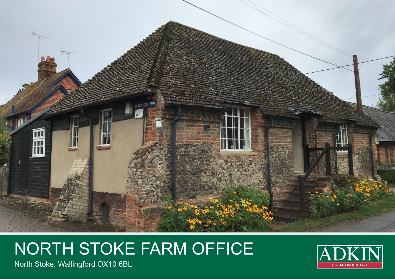

# NORTH STOKE FARM OFFICE



North Stoke, Wallingford OX10 6BL